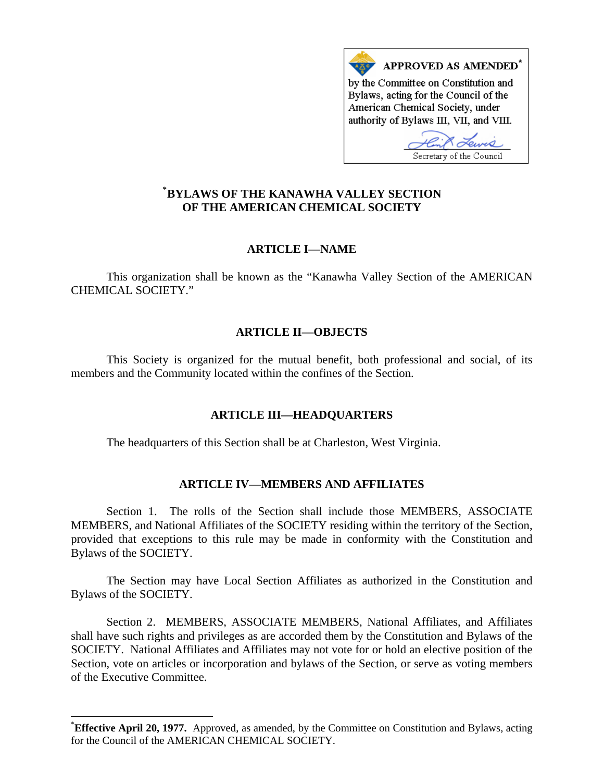

# **[\\*](#page-0-0) BYLAWS OF THE KANAWHA VALLEY SECTION OF THE AMERICAN CHEMICAL SOCIETY**

# **ARTICLE I—NAME**

This organization shall be known as the "Kanawha Valley Section of the AMERICAN CHEMICAL SOCIETY."

# **ARTICLE II—OBJECTS**

This Society is organized for the mutual benefit, both professional and social, of its members and the Community located within the confines of the Section.

# **ARTICLE III—HEADQUARTERS**

The headquarters of this Section shall be at Charleston, West Virginia.

# **ARTICLE IV—MEMBERS AND AFFILIATES**

Section 1. The rolls of the Section shall include those MEMBERS, ASSOCIATE MEMBERS, and National Affiliates of the SOCIETY residing within the territory of the Section, provided that exceptions to this rule may be made in conformity with the Constitution and Bylaws of the SOCIETY.

The Section may have Local Section Affiliates as authorized in the Constitution and Bylaws of the SOCIETY.

Section 2. MEMBERS, ASSOCIATE MEMBERS, National Affiliates, and Affiliates shall have such rights and privileges as are accorded them by the Constitution and Bylaws of the SOCIETY. National Affiliates and Affiliates may not vote for or hold an elective position of the Section, vote on articles or incorporation and bylaws of the Section, or serve as voting members of the Executive Committee.

 $\overline{a}$ 

<span id="page-0-0"></span><sup>\*</sup> **Effective April 20, 1977.** Approved, as amended, by the Committee on Constitution and Bylaws, acting for the Council of the AMERICAN CHEMICAL SOCIETY.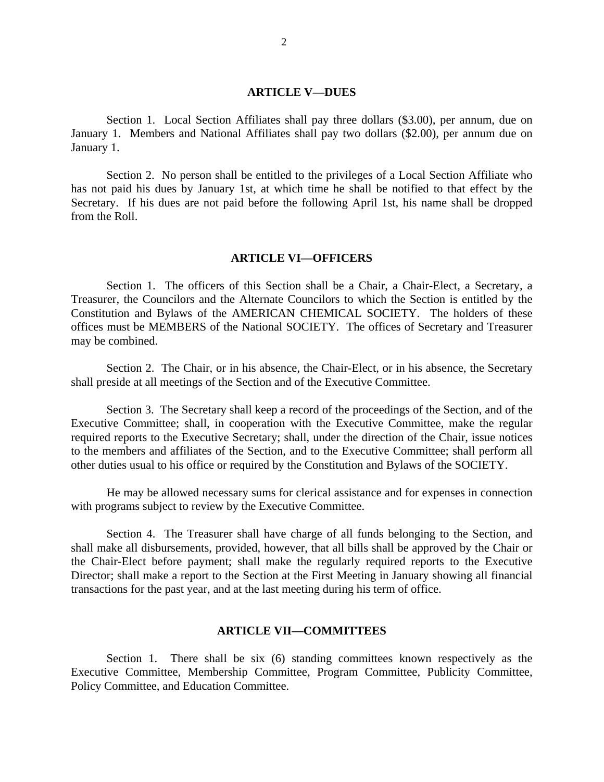#### **ARTICLE V—DUES**

Section 1. Local Section Affiliates shall pay three dollars (\$3.00), per annum, due on January 1. Members and National Affiliates shall pay two dollars (\$2.00), per annum due on January 1.

Section 2. No person shall be entitled to the privileges of a Local Section Affiliate who has not paid his dues by January 1st, at which time he shall be notified to that effect by the Secretary. If his dues are not paid before the following April 1st, his name shall be dropped from the Roll.

#### **ARTICLE VI—OFFICERS**

Section 1. The officers of this Section shall be a Chair, a Chair-Elect, a Secretary, a Treasurer, the Councilors and the Alternate Councilors to which the Section is entitled by the Constitution and Bylaws of the AMERICAN CHEMICAL SOCIETY. The holders of these offices must be MEMBERS of the National SOCIETY. The offices of Secretary and Treasurer may be combined.

Section 2. The Chair, or in his absence, the Chair-Elect, or in his absence, the Secretary shall preside at all meetings of the Section and of the Executive Committee.

Section 3. The Secretary shall keep a record of the proceedings of the Section, and of the Executive Committee; shall, in cooperation with the Executive Committee, make the regular required reports to the Executive Secretary; shall, under the direction of the Chair, issue notices to the members and affiliates of the Section, and to the Executive Committee; shall perform all other duties usual to his office or required by the Constitution and Bylaws of the SOCIETY.

He may be allowed necessary sums for clerical assistance and for expenses in connection with programs subject to review by the Executive Committee.

Section 4. The Treasurer shall have charge of all funds belonging to the Section, and shall make all disbursements, provided, however, that all bills shall be approved by the Chair or the Chair-Elect before payment; shall make the regularly required reports to the Executive Director; shall make a report to the Section at the First Meeting in January showing all financial transactions for the past year, and at the last meeting during his term of office.

## **ARTICLE VII—COMMITTEES**

Section 1. There shall be six (6) standing committees known respectively as the Executive Committee, Membership Committee, Program Committee, Publicity Committee, Policy Committee, and Education Committee.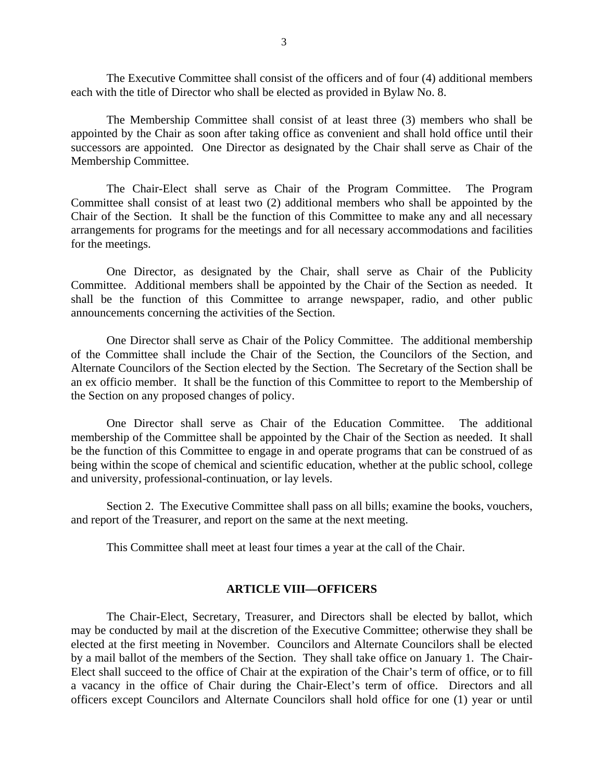The Executive Committee shall consist of the officers and of four (4) additional members each with the title of Director who shall be elected as provided in Bylaw No. 8.

The Membership Committee shall consist of at least three (3) members who shall be appointed by the Chair as soon after taking office as convenient and shall hold office until their successors are appointed. One Director as designated by the Chair shall serve as Chair of the Membership Committee.

The Chair-Elect shall serve as Chair of the Program Committee. The Program Committee shall consist of at least two (2) additional members who shall be appointed by the Chair of the Section. It shall be the function of this Committee to make any and all necessary arrangements for programs for the meetings and for all necessary accommodations and facilities for the meetings.

One Director, as designated by the Chair, shall serve as Chair of the Publicity Committee. Additional members shall be appointed by the Chair of the Section as needed. It shall be the function of this Committee to arrange newspaper, radio, and other public announcements concerning the activities of the Section.

One Director shall serve as Chair of the Policy Committee. The additional membership of the Committee shall include the Chair of the Section, the Councilors of the Section, and Alternate Councilors of the Section elected by the Section. The Secretary of the Section shall be an ex officio member. It shall be the function of this Committee to report to the Membership of the Section on any proposed changes of policy.

One Director shall serve as Chair of the Education Committee. The additional membership of the Committee shall be appointed by the Chair of the Section as needed. It shall be the function of this Committee to engage in and operate programs that can be construed of as being within the scope of chemical and scientific education, whether at the public school, college and university, professional-continuation, or lay levels.

Section 2. The Executive Committee shall pass on all bills; examine the books, vouchers, and report of the Treasurer, and report on the same at the next meeting.

This Committee shall meet at least four times a year at the call of the Chair.

## **ARTICLE VIII—OFFICERS**

The Chair-Elect, Secretary, Treasurer, and Directors shall be elected by ballot, which may be conducted by mail at the discretion of the Executive Committee; otherwise they shall be elected at the first meeting in November. Councilors and Alternate Councilors shall be elected by a mail ballot of the members of the Section. They shall take office on January 1. The Chair-Elect shall succeed to the office of Chair at the expiration of the Chair's term of office, or to fill a vacancy in the office of Chair during the Chair-Elect's term of office. Directors and all officers except Councilors and Alternate Councilors shall hold office for one (1) year or until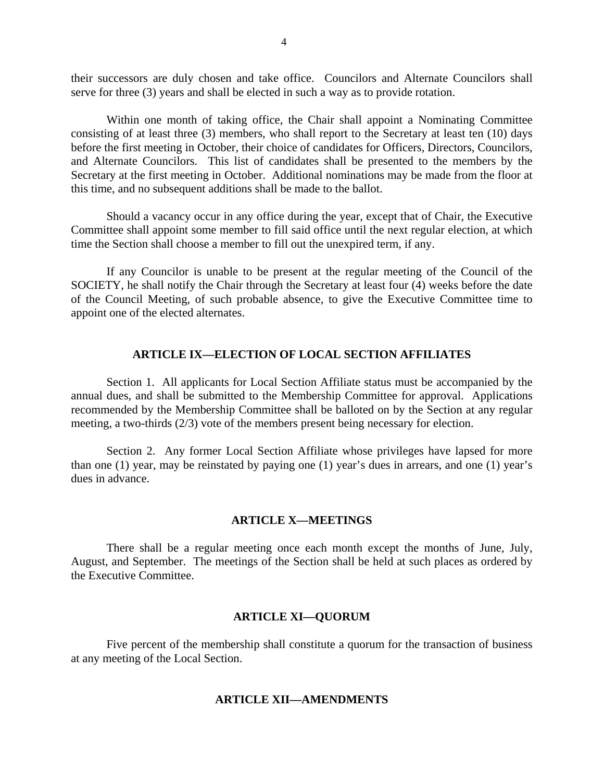their successors are duly chosen and take office. Councilors and Alternate Councilors shall serve for three (3) years and shall be elected in such a way as to provide rotation.

Within one month of taking office, the Chair shall appoint a Nominating Committee consisting of at least three (3) members, who shall report to the Secretary at least ten (10) days before the first meeting in October, their choice of candidates for Officers, Directors, Councilors, and Alternate Councilors. This list of candidates shall be presented to the members by the Secretary at the first meeting in October. Additional nominations may be made from the floor at this time, and no subsequent additions shall be made to the ballot.

Should a vacancy occur in any office during the year, except that of Chair, the Executive Committee shall appoint some member to fill said office until the next regular election, at which time the Section shall choose a member to fill out the unexpired term, if any.

If any Councilor is unable to be present at the regular meeting of the Council of the SOCIETY, he shall notify the Chair through the Secretary at least four (4) weeks before the date of the Council Meeting, of such probable absence, to give the Executive Committee time to appoint one of the elected alternates.

### **ARTICLE IX—ELECTION OF LOCAL SECTION AFFILIATES**

Section 1. All applicants for Local Section Affiliate status must be accompanied by the annual dues, and shall be submitted to the Membership Committee for approval. Applications recommended by the Membership Committee shall be balloted on by the Section at any regular meeting, a two-thirds (2/3) vote of the members present being necessary for election.

Section 2. Any former Local Section Affiliate whose privileges have lapsed for more than one (1) year, may be reinstated by paying one (1) year's dues in arrears, and one (1) year's dues in advance.

### **ARTICLE X—MEETINGS**

There shall be a regular meeting once each month except the months of June, July, August, and September. The meetings of the Section shall be held at such places as ordered by the Executive Committee.

### **ARTICLE XI—QUORUM**

Five percent of the membership shall constitute a quorum for the transaction of business at any meeting of the Local Section.

#### **ARTICLE XII—AMENDMENTS**